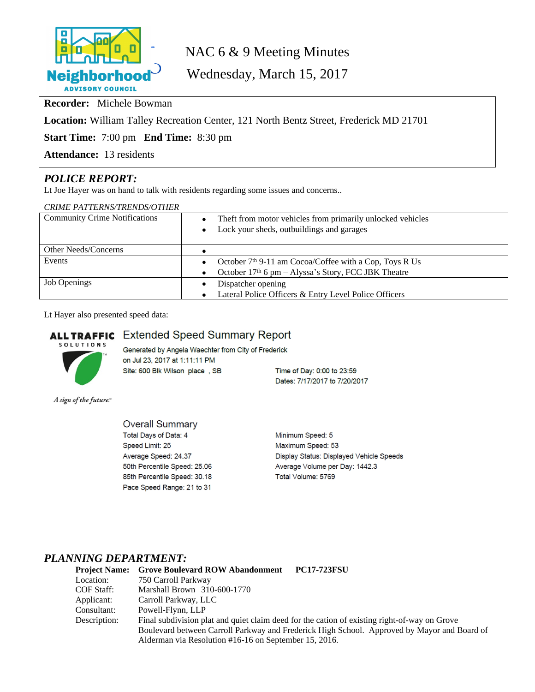

# NAC 6 & 9 Meeting Minutes

Wednesday, March 15, 2017

**Recorder:** Michele Bowman

**Location:** William Talley Recreation Center, 121 North Bentz Street, Frederick MD 21701

**Start Time:** 7:00 pm **End Time:** 8:30 pm

**Attendance:** 13 residents

# *POLICE REPORT:*

Lt Joe Hayer was on hand to talk with residents regarding some issues and concerns..

| <b>CRIME PATTERNS/TRENDS/OTHER</b>   |                                                                                 |  |  |  |  |
|--------------------------------------|---------------------------------------------------------------------------------|--|--|--|--|
| <b>Community Crime Notifications</b> | Theft from motor vehicles from primarily unlocked vehicles<br>$\bullet$         |  |  |  |  |
|                                      | Lock your sheds, outbuildings and garages<br>$\bullet$                          |  |  |  |  |
| Other Needs/Concerns                 |                                                                                 |  |  |  |  |
| Events                               | October 7 <sup>th</sup> 9-11 am Cocoa/Coffee with a Cop, Toys R Us<br>$\bullet$ |  |  |  |  |
|                                      | October $17th$ 6 pm – Alyssa's Story, FCC JBK Theatre<br>$\bullet$              |  |  |  |  |
| <b>Job Openings</b>                  | Dispatcher opening<br>٠                                                         |  |  |  |  |
|                                      | Lateral Police Officers & Entry Level Police Officers                           |  |  |  |  |

Lt Hayer also presented speed data:

# **ALL TRAFFIC** Extended Speed Summary Report



Generated by Angela Waechter from City of Frederick on Jul 23, 2017 at 1:11:11 PM Site: 600 Blk Wilson place, SB

Time of Day: 0:00 to 23:59 Dates: 7/17/2017 to 7/20/2017

A sign of the future."

**Overall Summary** Total Days of Data: 4 Speed Limit: 25 Average Speed: 24.37 50th Percentile Speed: 25.06 85th Percentile Speed: 30.18 Pace Speed Range: 21 to 31

Minimum Speed: 5 Maximum Speed: 53 Display Status: Displayed Vehicle Speeds Average Volume per Day: 1442.3 Total Volume: 5769

# *PLANNING DEPARTMENT:*

| <b>Project Name:</b> | <b>Grove Boulevard ROW Abandonment</b><br><b>PC17-723FSU</b>                                 |  |  |  |
|----------------------|----------------------------------------------------------------------------------------------|--|--|--|
| Location:            | 750 Carroll Parkway                                                                          |  |  |  |
| COF Staff:           | Marshall Brown 310-600-1770                                                                  |  |  |  |
| Applicant:           | Carroll Parkway, LLC                                                                         |  |  |  |
| Consultant:          | Powell-Flynn, LLP                                                                            |  |  |  |
| Description:         | Final subdivision plat and quiet claim deed for the cation of existing right-of-way on Grove |  |  |  |
|                      | Boulevard between Carroll Parkway and Frederick High School. Approved by Mayor and Board of  |  |  |  |
|                      | Alderman via Resolution #16-16 on September 15, 2016.                                        |  |  |  |